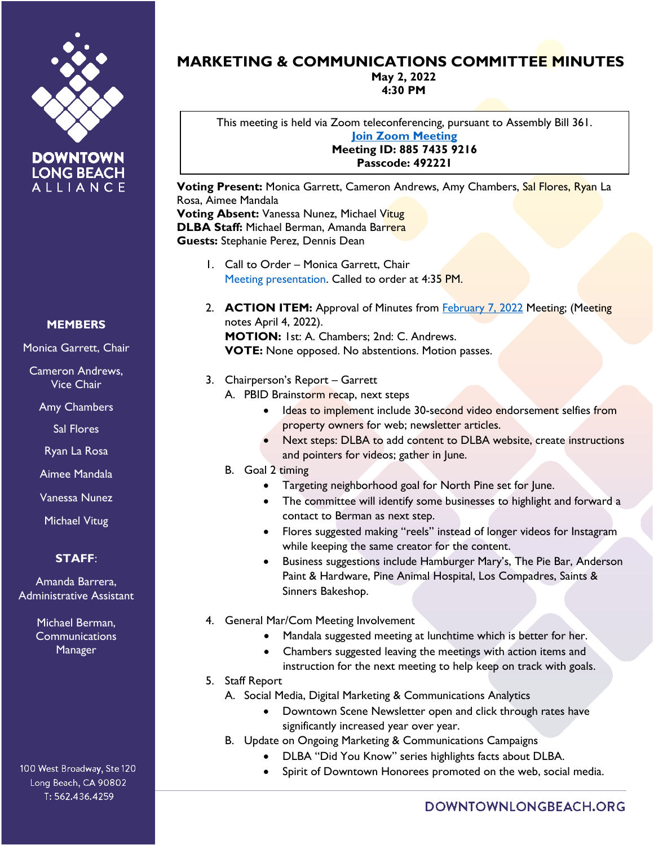



## **MEMBERS**

Monica Garrett, Chair

Cameron Andrews, Vice Chair

Amy Chambers

Sal Flores

Ryan La Rosa

Aimee Mandala

Vanessa Nunez

Michael Vitug

## **STAFF**:

Amanda Barrera, Administrative Assistant

> Michael Berman, **Communications** Manager

100 West Broadway, Ste 120 Long Beach, CA 90802 T: 562.436.4259

## **MARKETING & COMMUNICATIONS COMMITTEE MINUTES**

**May 2, 2022 4:30 PM**

This meeting is held via Zoom teleconferencing, pursuant to Assembly Bill 361. **[Join Zoom Meeting](https://us02web.zoom.us/j/88574359216?pwd=cXNnZ0ZuUk0rdkRVcGYwaXBrRFU0UT09) Meeting ID: 885 7435 9216 Passcode: 492221**

**Voting Present:** Monica Garrett, Cameron Andrews, Amy Chambers, Sal Flores, Ryan La Rosa, Aimee Mandala **Voting Absent:** Vanessa Nunez, Michael Vitug **DLBA Staff:** Michael Berman, Amanda Barrera **Guests:** Stephanie Perez, Dennis Dean

- 1. Call to Order Monica Garrett, Chair Meeting presentation. Called to order at 4:35 PM.
- 2. **ACTION ITEM:** Approval of Minutes from [February 7, 2022](https://downtownlongbeach.org/wp-content/uploads/F-Marketing-and-Communications-Committee-Minutes-February-2022.pdf) Meeting; (Meeting notes April 4, 2022). **MOTION:** 1st: A. Chambers; 2nd: C. Andrews. **VOTE:** None opposed. No abstentions. Motion passes.
- 3. Chairperson's Report Garrett
	- A. PBID Brainstorm recap, next steps
		- Ideas to implement include 30-second video endorsement selfies from property owners for web; newsletter articles.
		- Next steps: DLBA to add content to DLBA website, create instructions and pointers for videos; gather in June.
	- B. Goal 2 timing
		- Targeting neighborhood goal for North Pine set for June.
		- The committee will identify some businesses to highlight and forward a contact to Berman as next step.
		- Flores suggested making "reels" instead of longer videos for Instagram while keeping the same creator for the content.
		- Business suggestions include Hamburger Mary's, The Pie Bar, Anderson Paint & Hardware, Pine Animal Hospital, Los Compadres, Saints & Sinners Bakeshop.
- 4. General Mar/Com Meeting Involvement
	- Mandala suggested meeting at lunchtime which is better for her.
	- Chambers suggested leaving the meetings with action items and instruction for the next meeting to help keep on track with goals.
- 5. Staff Report
	- A. Social Media, Digital Marketing & Communications Analytics
		- Downtown Scene Newsletter open and click through rates have significantly increased year over year.
	- B. Update on Ongoing Marketing & Communications Campaigns
		- DLBA "Did You Know" series highlights facts about DLBA.
			- Spirit of Downtown Honorees promoted on the web, social media.